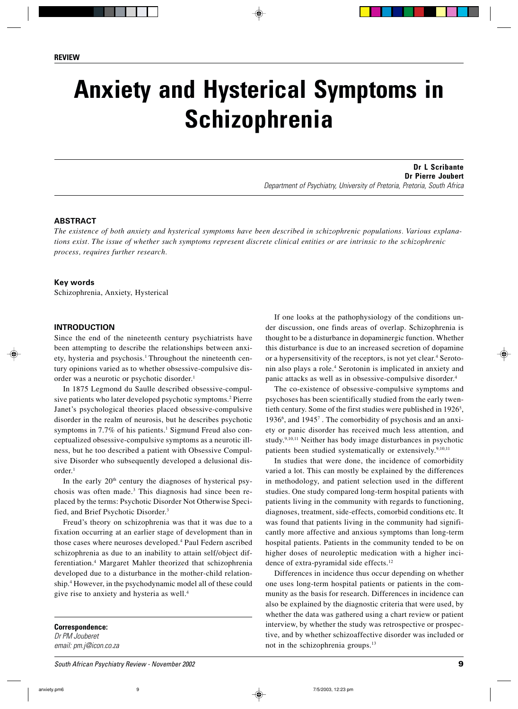# **Anxiety and Hysterical Symptoms in Schizophrenia**

**Dr L Scribante Dr Pierre Joubert** Department of Psychiatry, University of Pretoria, Pretoria, South Africa

### **ABSTRACT**

*The existence of both anxiety and hysterical symptoms have been described in schizophrenic populations. Various explanations exist. The issue of whether such symptoms represent discrete clinical entities or are intrinsic to the schizophrenic process, requires further research.*

#### **Key words**

Schizophrenia, Anxiety, Hysterical

#### **INTRODUCTION**

Since the end of the nineteenth century psychiatrists have been attempting to describe the relationships between anxiety, hysteria and psychosis.<sup>1</sup> Throughout the nineteenth century opinions varied as to whether obsessive-compulsive disorder was a neurotic or psychotic disorder.<sup>1</sup>

In 1875 Legmond du Saulle described obsessive-compulsive patients who later developed psychotic symptoms.2 Pierre Janet's psychological theories placed obsessive-compulsive disorder in the realm of neurosis, but he describes psychotic symptoms in 7.7% of his patients.<sup>1</sup> Sigmund Freud also conceptualized obsessive-compulsive symptoms as a neurotic illness, but he too described a patient with Obsessive Compulsive Disorder who subsequently developed a delusional dis $order<sup>1</sup>$ 

In the early 20<sup>th</sup> century the diagnoses of hysterical psychosis was often made.3 This diagnosis had since been replaced by the terms: Psychotic Disorder Not Otherwise Specified, and Brief Psychotic Disorder.3

Freud's theory on schizophrenia was that it was due to a fixation occurring at an earlier stage of development than in those cases where neuroses developed.<sup>4</sup> Paul Federn ascribed schizophrenia as due to an inability to attain self/object differentiation.4 Margaret Mahler theorized that schizophrenia developed due to a disturbance in the mother-child relationship.4 However, in the psychodynamic model all of these could give rise to anxiety and hysteria as well.4

**Correspondence:** Dr PM Jouberet email: pm.j@icon.co.za

If one looks at the pathophysiology of the conditions under discussion, one finds areas of overlap. Schizophrenia is thought to be a disturbance in dopaminergic function. Whether this disturbance is due to an increased secretion of dopamine or a hypersensitivity of the receptors, is not yet clear.4 Serotonin also plays a role.4 Serotonin is implicated in anxiety and panic attacks as well as in obsessive-compulsive disorder.4

The co-existence of obsessive-compulsive symptoms and psychoses has been scientifically studied from the early twentieth century. Some of the first studies were published in  $1926<sup>5</sup>$ , 1936<sup>6</sup>, and 1945<sup>7</sup>. The comorbidity of psychosis and an anxiety or panic disorder has received much less attention, and study.9,10,11 Neither has body image disturbances in psychotic patients been studied systematically or extensively.<sup>9,10,11</sup>

In studies that were done, the incidence of comorbidity varied a lot. This can mostly be explained by the differences in methodology, and patient selection used in the different studies. One study compared long-term hospital patients with patients living in the community with regards to functioning, diagnoses, treatment, side-effects, comorbid conditions etc. It was found that patients living in the community had significantly more affective and anxious symptoms than long-term hospital patients. Patients in the community tended to be on higher doses of neuroleptic medication with a higher incidence of extra-pyramidal side effects.12

Differences in incidence thus occur depending on whether one uses long-term hospital patients or patients in the community as the basis for research. Differences in incidence can also be explained by the diagnostic criteria that were used, by whether the data was gathered using a chart review or patient interview, by whether the study was retrospective or prospective, and by whether schizoaffective disorder was included or not in the schizophrenia groups.<sup>13</sup>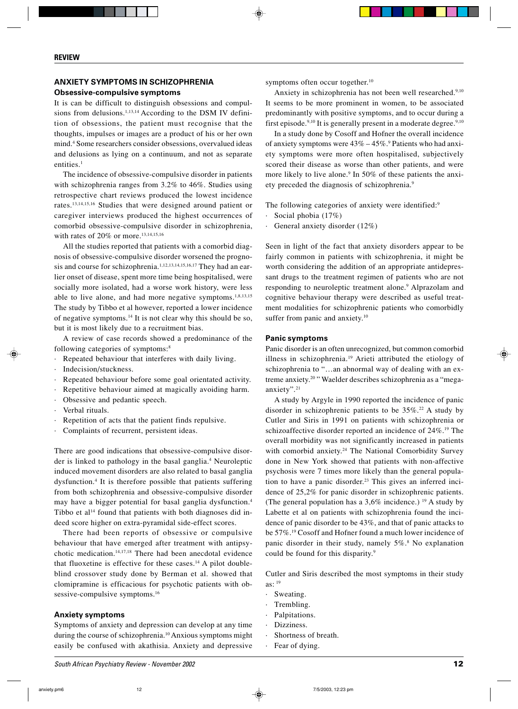## **ANXIETY SYMPTOMS IN SCHIZOPHRENIA**

#### **Obsessive-compulsive symptoms**

It is can be difficult to distinguish obsessions and compulsions from delusions.<sup>1,13,14</sup> According to the DSM IV definition of obsessions, the patient must recognise that the thoughts, impulses or images are a product of his or her own mind.4 Some researchers consider obsessions, overvalued ideas and delusions as lying on a continuum, and not as separate entities.<sup>1</sup>

The incidence of obsessive-compulsive disorder in patients with schizophrenia ranges from 3.2% to 46%. Studies using retrospective chart reviews produced the lowest incidence rates.13,14,15,16 Studies that were designed around patient or caregiver interviews produced the highest occurrences of comorbid obsessive-compulsive disorder in schizophrenia, with rates of 20% or more.<sup>13,14,15,16</sup>

All the studies reported that patients with a comorbid diagnosis of obsessive-compulsive disorder worsened the prognosis and course for schizophrenia.<sup>1,12,13,14,15,16,17</sup> They had an earlier onset of disease, spent more time being hospitalised, were socially more isolated, had a worse work history, were less able to live alone, and had more negative symptoms.<sup>1,8,13,15</sup> The study by Tibbo et al however, reported a lower incidence of negative symptoms.14 It is not clear why this should be so, but it is most likely due to a recruitment bias.

A review of case records showed a predominance of the following categories of symptoms:<sup>8</sup>

- Repeated behaviour that interferes with daily living.
- · Indecision/stuckness.
- Repeated behaviour before some goal orientated activity.
- Repetitive behaviour aimed at magically avoiding harm.
- · Obsessive and pedantic speech.
- · Verbal rituals.
- Repetition of acts that the patient finds repulsive.
- · Complaints of recurrent, persistent ideas.

There are good indications that obsessive-compulsive disorder is linked to pathology in the basal ganglia.<sup>4</sup> Neuroleptic induced movement disorders are also related to basal ganglia dysfunction.4 It is therefore possible that patients suffering from both schizophrenia and obsessive-compulsive disorder may have a bigger potential for basal ganglia dysfunction.4 Tibbo et al<sup>14</sup> found that patients with both diagnoses did indeed score higher on extra-pyramidal side-effect scores.

There had been reports of obsessive or compulsive behaviour that have emerged after treatment with antipsychotic medication.14,17,18 There had been anecdotal evidence that fluoxetine is effective for these cases.<sup>14</sup> A pilot doubleblind crossover study done by Berman et al. showed that clomipramine is efficacious for psychotic patients with obsessive-compulsive symptoms.<sup>16</sup>

#### **Anxiety symptoms**

Symptoms of anxiety and depression can develop at any time during the course of schizophrenia.10 Anxious symptoms might easily be confused with akathisia. Anxiety and depressive symptoms often occur together.<sup>10</sup>

Anxiety in schizophrenia has not been well researched.<sup>9,10</sup> It seems to be more prominent in women, to be associated predominantly with positive symptoms, and to occur during a first episode.<sup>9,10</sup> It is generally present in a moderate degree.<sup>9,10</sup>

In a study done by Cosoff and Hofner the overall incidence of anxiety symptoms were  $43\% - 45\%$ .<sup>9</sup> Patients who had anxiety symptoms were more often hospitalised, subjectively scored their disease as worse than other patients, and were more likely to live alone.<sup>9</sup> In 50% of these patients the anxiety preceded the diagnosis of schizophrenia.9

The following categories of anxiety were identified:<sup>9</sup>

- · Social phobia (17%)
- General anxiety disorder  $(12\%)$

Seen in light of the fact that anxiety disorders appear to be fairly common in patients with schizophrenia, it might be worth considering the addition of an appropriate antidepressant drugs to the treatment regimen of patients who are not responding to neuroleptic treatment alone.<sup>9</sup> Alprazolam and cognitive behaviour therapy were described as useful treatment modalities for schizophrenic patients who comorbidly suffer from panic and anxiety.<sup>10</sup>

#### **Panic symptoms**

Panic disorder is an often unrecognized, but common comorbid illness in schizophrenia.19 Arieti attributed the etiology of schizophrenia to "…an abnormal way of dealing with an extreme anxiety.20 " Waelder describes schizophrenia as a "megaanxiety".21

A study by Argyle in 1990 reported the incidence of panic disorder in schizophrenic patients to be  $35\%$ .<sup>22</sup> A study by Cutler and Siris in 1991 on patients with schizophrenia or schizoaffective disorder reported an incidence of 24%.19 The overall morbidity was not significantly increased in patients with comorbid anxiety.<sup>24</sup> The National Comorbidity Survey done in New York showed that patients with non-affective psychosis were 7 times more likely than the general population to have a panic disorder.<sup>23</sup> This gives an inferred incidence of 25,2% for panic disorder in schizophrenic patients. (The general population has a  $3.6\%$  incidence.) <sup>19</sup> A study by Labette et al on patients with schizophrenia found the incidence of panic disorder to be 43%, and that of panic attacks to be 57%.19 Cosoff and Hofner found a much lower incidence of panic disorder in their study, namely 5%.8 No explanation could be found for this disparity.9

Cutler and Siris described the most symptoms in their study as:  $19$ 

- Sweating.
- · Trembling.
- Palpitations.
- Dizziness.
- Shortness of breath.
- Fear of dving.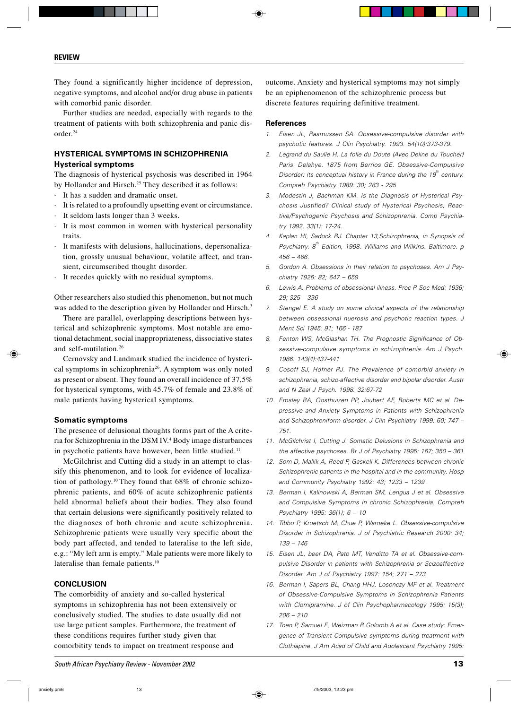They found a significantly higher incidence of depression, negative symptoms, and alcohol and/or drug abuse in patients with comorbid panic disorder.

Further studies are needed, especially with regards to the treatment of patients with both schizophrenia and panic disorder.24

## **HYSTERICAL SYMPTOMS IN SCHIZOPHRENIA Hysterical symptoms**

The diagnosis of hysterical psychosis was described in 1964 by Hollander and Hirsch.<sup>25</sup> They described it as follows:

- · It has a sudden and dramatic onset.
- · It is related to a profoundly upsetting event or circumstance.
- It seldom lasts longer than 3 weeks.
- It is most common in women with hysterical personality traits.
- · It manifests with delusions, hallucinations, depersonalization, grossly unusual behaviour, volatile affect, and transient, circumscribed thought disorder.
- · It recedes quickly with no residual symptoms.

Other researchers also studied this phenomenon, but not much was added to the description given by Hollander and Hirsch.<sup>3</sup>

There are parallel, overlapping descriptions between hysterical and schizophrenic symptoms. Most notable are emotional detachment, social inappropriateness, dissociative states and self-mutilation.26

Cernovsky and Landmark studied the incidence of hysterical symptoms in schizophrenia<sup>26</sup>. A symptom was only noted as present or absent. They found an overall incidence of 37,5% for hysterical symptoms, with 45.7% of female and 23.8% of male patients having hysterical symptoms.

#### **Somatic symptoms**

The presence of delusional thoughts forms part of the A criteria for Schizophrenia in the DSM IV.4 Body image disturbances in psychotic patients have however, been little studied.<sup>11</sup>

McGilchrist and Cutting did a study in an attempt to classify this phenomenon, and to look for evidence of localization of pathology.10 They found that 68% of chronic schizophrenic patients, and 60% of acute schizophrenic patients held abnormal beliefs about their bodies. They also found that certain delusions were significantly positively related to the diagnoses of both chronic and acute schizophrenia. Schizophrenic patients were usually very specific about the body part affected, and tended to lateralise to the left side, e.g.: "My left arm is empty." Male patients were more likely to lateralise than female patients.<sup>10</sup>

#### **CONCLUSION**

The comorbidity of anxiety and so-called hysterical symptoms in schizophrenia has not been extensively or conclusively studied. The studies to date usually did not use large patient samples. Furthermore, the treatment of these conditions requires further study given that comorbitity tends to impact on treatment response and

outcome. Anxiety and hysterical symptoms may not simply be an epiphenomenon of the schizophrenic process but discrete features requiring definitive treatment.

#### **References**

- 1. Eisen JL, Rasmussen SA. Obsessive-compulsive disorder with psychotic features. J Clin Psychiatry. 1993. 54(10):373-379.
- 2. Legrand du Saulle H. La folie du Doute (Avec Deline du Toucher) Paris. Delahye. 1875 from Berrios GE. Obsessive-Compulsive Disorder: its conceptual history in France during the 19 $^{\rm th}$  century. Compreh Psychiatry 1989: 30; 283 - 295
- 3. Modestin J, Bachman KM. Is the Diagnosis of Hysterical Psychosis Justified? Clinical study of Hysterical Psychosis, Reactive/Psychogenic Psychosis and Schizophrenia. Comp Psychiatry 1992. 33(1): 17-24.
- 4. Kaplan HI, Sadock BJ. Chapter 13,Schizophrenia, in Synopsis of Psychiatry.  $\boldsymbol{\mathcal{S}}^{\text{th}}$  Edition, 1998. Williams and Wilkins. Baltimore. p  $456 - 466$
- 5. Gordon A. Obsessions in their relation to psychoses. Am J Psychiatry 1926: 82; 647 – 659
- 6. Lewis A. Problems of obsessional illness. Proc R Soc Med: 1936; 29; 325 – 336
- 7. Stengel E. A study on some clinical aspects of the relationship between obsessional nuerosis and psychotic reaction types. J Ment Sci 1945: 91; 166 - 187
- 8. Fenton WS, McGlashan TH. The Prognostic Significance of Obsessive-compulsive symptoms in schizophrenia. Am J Psych. 1986. 143(4):437-441
- 9. Cosoff SJ, Hofner RJ. The Prevalence of comorbid anxiety in schizophrenia, schizo-affective disorder and bipolar disorder. Austr and N Zeal J Psych. 1998. 32:67-72
- 10. Emsley RA, Oosthuizen PP, Joubert AF, Roberts MC et al. Depressive and Anxiety Symptoms in Patients with Schizophrenia and Schizophreniform disorder. J Clin Psychiatry 1999: 60; 747 – 751.
- 11. McGilchrist I, Cutting J. Somatic Delusions in Schizophrenia and the affective psychoses. Br J of Psychiatry 1995: 167; 350 – 361
- 12. Som D, Mallik A, Reed P, Gaskell K. Differences between chronic Schizophrenic patients in the hospital and in the community. Hosp and Community Psychiatry 1992: 43; 1233 – 1239
- 13. Berman I, Kalinowski A, Berman SM, Lengua J et al. Obsessive and Compulsive Symptoms in chronic Schizophrenia. Compreh Psychiatry 1995: 36(1); 6 – 10
- 14. Tibbo P, Kroetsch M, Chue P, Warneke L. Obsessive-compulsive Disorder in Schizophrenia. J of Psychiatric Research 2000: 34;  $139 - 146$
- 15. Eisen JL, beer DA, Pato MT, Venditto TA et al. Obsessive-compulsive Disorder in patients with Schizophrenia or Scizoaffective Disorder. Am J of Psychiatry 1997: 154; 271 – 273
- 16. Berman I, Sapers BL, Chang HHJ, Losonczy MF et al. Treatment of Obsessive-Compulsive Symptoms in Schizophrenia Patients with Clomipramine. J of Clin Psychopharmacology 1995: 15(3); 206 – 210
- 17. Toen P, Samuel E, Weizman R Golomb A et al. Case study: Emergence of Transient Compulsive symptoms during treatment with Clothiapine. J Am Acad of Child and Adolescent Psychiatry 1995: